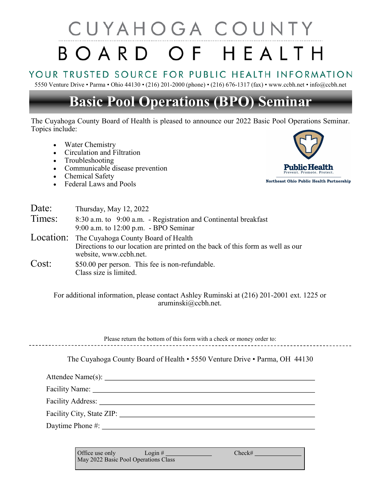# CUYAHOGA COUNTY BOARD OF HEALTH

### YOUR TRUSTED SOURCE FOR PUBLIC HEALTH INFORMATION

5550 Venture Drive • Parma • Ohio 44130 • (216) 201-2000 (phone) • (216) 676-1317 (fax) • www.ccbh.net • info@ccbh.net

## **Basic Pool Operations (BPO) Seminar**

The Cuyahoga County Board of Health is pleased to announce our 2022 Basic Pool Operations Seminar. Topics include:

- Water Chemistry
- Circulation and Filtration
- Troubleshooting
- Communicable disease prevention
- Chemical Safety
- Federal Laws and Pools



| Date:  | Thursday, May 12, 2022                                                                                                                                    |
|--------|-----------------------------------------------------------------------------------------------------------------------------------------------------------|
| Times: | 8:30 a.m. to 9:00 a.m. - Registration and Continental breakfast<br>9:00 a.m. to 12:00 p.m. - BPO Seminar                                                  |
|        | Location: The Cuyahoga County Board of Health<br>Directions to our location are printed on the back of this form as well as our<br>website, www.ccbh.net. |
| Cost:  | \$50.00 per person. This fee is non-refundable.<br>Class size is limited.                                                                                 |

For additional information, please contact Ashley Ruminski at (216) 201-2001 ext. 1225 or aruminski@ccbh.net.

Please return the bottom of this form with a check or money order to:

The Cuyahoga County Board of Health • 5550 Venture Drive • Parma, OH 44130

Attendee Name(s):

Facility Name:

Facility Address:

Facility City, State ZIP:

Daytime Phone #:

Office use only Login # Login # Check# May 2022 Basic Pool Operations Class